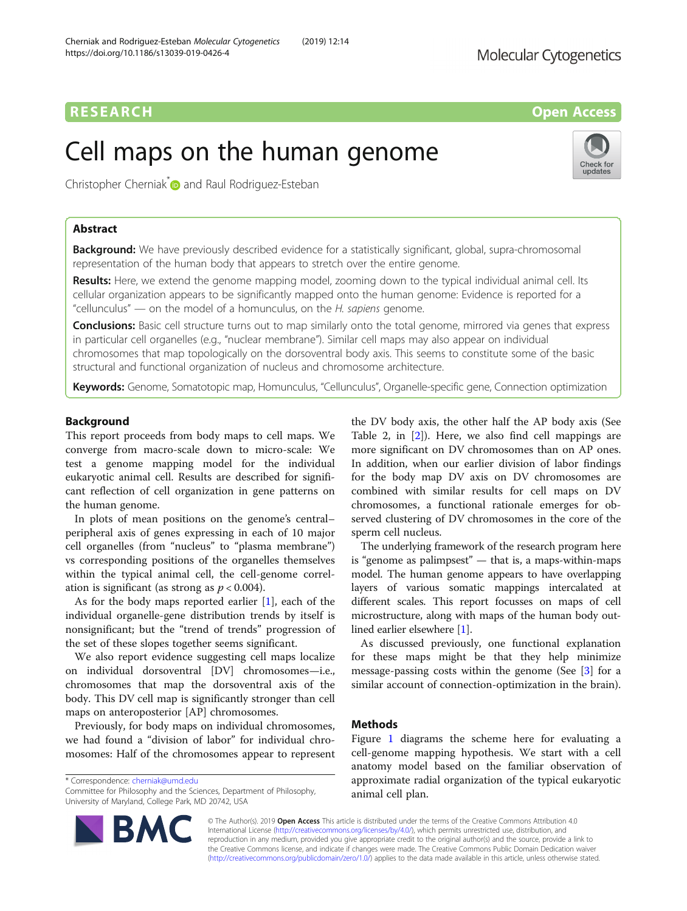## **RESEARCH CHINESEARCH CHINESEARCH CHINESEARCH CHINESE**

undate

# Cell maps on the human genome

Christopher Cherniak<sup>\*</sup> and Raul Rodriguez-Esteban

## Abstract

Background: We have previously described evidence for a statistically significant, global, supra-chromosomal representation of the human body that appears to stretch over the entire genome.

Results: Here, we extend the genome mapping model, zooming down to the typical individual animal cell. Its cellular organization appears to be significantly mapped onto the human genome: Evidence is reported for a "cellunculus" — on the model of a homunculus, on the H. sapiens genome.

**Conclusions:** Basic cell structure turns out to map similarly onto the total genome, mirrored via genes that express in particular cell organelles (e.g., "nuclear membrane"). Similar cell maps may also appear on individual chromosomes that map topologically on the dorsoventral body axis. This seems to constitute some of the basic structural and functional organization of nucleus and chromosome architecture.

Keywords: Genome, Somatotopic map, Homunculus, "Cellunculus", Organelle-specific gene, Connection optimization

## Background

This report proceeds from body maps to cell maps. We converge from macro-scale down to micro-scale: We test a genome mapping model for the individual eukaryotic animal cell. Results are described for significant reflection of cell organization in gene patterns on the human genome.

In plots of mean positions on the genome's central– peripheral axis of genes expressing in each of 10 major cell organelles (from "nucleus" to "plasma membrane") vs corresponding positions of the organelles themselves within the typical animal cell, the cell-genome correlation is significant (as strong as  $p < 0.004$ ).

As for the body maps reported earlier  $[1]$  $[1]$ , each of the individual organelle-gene distribution trends by itself is nonsignificant; but the "trend of trends" progression of the set of these slopes together seems significant.

We also report evidence suggesting cell maps localize on individual dorsoventral [DV] chromosomes—i.e., chromosomes that map the dorsoventral axis of the body. This DV cell map is significantly stronger than cell maps on anteroposterior [AP] chromosomes.

Previously, for body maps on individual chromosomes, we had found a "division of labor" for individual chromosomes: Half of the chromosomes appear to represent

\* Correspondence: [cherniak@umd.edu](mailto:cherniak@umd.edu)

the DV body axis, the other half the AP body axis (See Table 2, in [[2\]](#page-5-0)). Here, we also find cell mappings are more significant on DV chromosomes than on AP ones. In addition, when our earlier division of labor findings for the body map DV axis on DV chromosomes are combined with similar results for cell maps on DV chromosomes, a functional rationale emerges for observed clustering of DV chromosomes in the core of the sperm cell nucleus.

The underlying framework of the research program here is "genome as palimpsest" — that is, a maps-within-maps model. The human genome appears to have overlapping layers of various somatic mappings intercalated at different scales. This report focusses on maps of cell microstructure, along with maps of the human body outlined earlier elsewhere [\[1](#page-5-0)].

As discussed previously, one functional explanation for these maps might be that they help minimize message-passing costs within the genome (See [[3\]](#page-5-0) for a similar account of connection-optimization in the brain).

## Methods

Figure [1](#page-1-0) diagrams the scheme here for evaluating a cell-genome mapping hypothesis. We start with a cell anatomy model based on the familiar observation of approximate radial organization of the typical eukaryotic animal cell plan.



© The Author(s). 2019 Open Access This article is distributed under the terms of the Creative Commons Attribution 4.0 International License [\(http://creativecommons.org/licenses/by/4.0/](http://creativecommons.org/licenses/by/4.0/)), which permits unrestricted use, distribution, and reproduction in any medium, provided you give appropriate credit to the original author(s) and the source, provide a link to the Creative Commons license, and indicate if changes were made. The Creative Commons Public Domain Dedication waiver [\(http://creativecommons.org/publicdomain/zero/1.0/](http://creativecommons.org/publicdomain/zero/1.0/)) applies to the data made available in this article, unless otherwise stated.

Committee for Philosophy and the Sciences, Department of Philosophy, University of Maryland, College Park, MD 20742, USA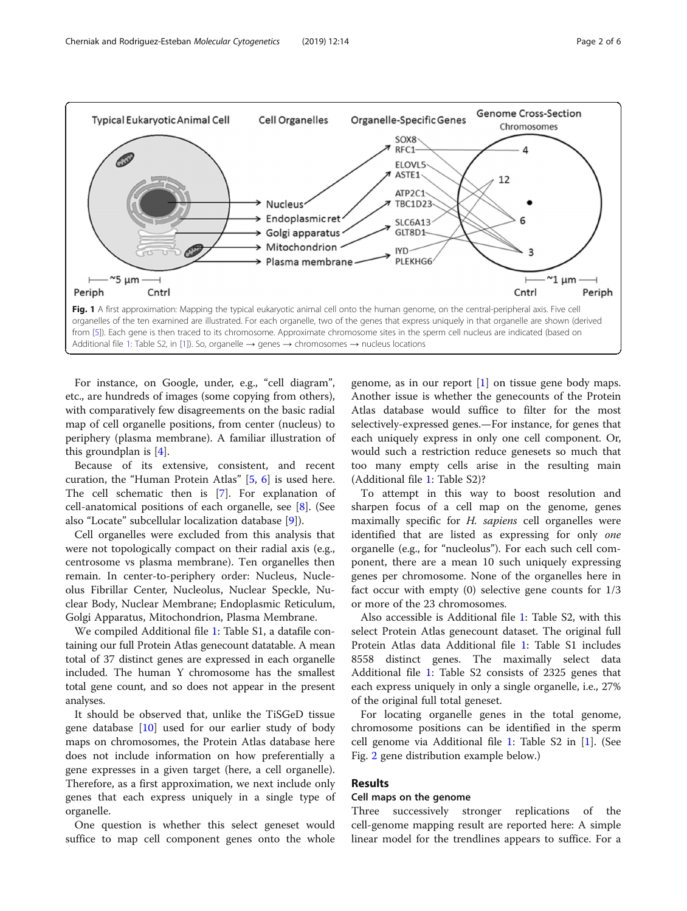<span id="page-1-0"></span>

For instance, on Google, under, e.g., "cell diagram", etc., are hundreds of images (some copying from others), with comparatively few disagreements on the basic radial map of cell organelle positions, from center (nucleus) to periphery (plasma membrane). A familiar illustration of this groundplan is [[4\]](#page-5-0).

Because of its extensive, consistent, and recent curation, the "Human Protein Atlas" [[5,](#page-5-0) [6\]](#page-5-0) is used here. The cell schematic then is [\[7](#page-5-0)]. For explanation of cell-anatomical positions of each organelle, see [[8\]](#page-5-0). (See also "Locate" subcellular localization database [\[9](#page-5-0)]).

Cell organelles were excluded from this analysis that were not topologically compact on their radial axis (e.g., centrosome vs plasma membrane). Ten organelles then remain. In center-to-periphery order: Nucleus, Nucleolus Fibrillar Center, Nucleolus, Nuclear Speckle, Nuclear Body, Nuclear Membrane; Endoplasmic Reticulum, Golgi Apparatus, Mitochondrion, Plasma Membrane.

We compiled Additional file [1:](#page-5-0) Table S1, a datafile containing our full Protein Atlas genecount datatable. A mean total of 37 distinct genes are expressed in each organelle included. The human Y chromosome has the smallest total gene count, and so does not appear in the present analyses.

It should be observed that, unlike the TiSGeD tissue gene database [\[10](#page-5-0)] used for our earlier study of body maps on chromosomes, the Protein Atlas database here does not include information on how preferentially a gene expresses in a given target (here, a cell organelle). Therefore, as a first approximation, we next include only genes that each express uniquely in a single type of organelle.

One question is whether this select geneset would suffice to map cell component genes onto the whole genome, as in our report  $[1]$  $[1]$  on tissue gene body maps. Another issue is whether the genecounts of the Protein Atlas database would suffice to filter for the most selectively-expressed genes.—For instance, for genes that each uniquely express in only one cell component. Or, would such a restriction reduce genesets so much that too many empty cells arise in the resulting main (Additional file [1](#page-5-0): Table S2)?

To attempt in this way to boost resolution and sharpen focus of a cell map on the genome, genes maximally specific for H. sapiens cell organelles were identified that are listed as expressing for only one organelle (e.g., for "nucleolus"). For each such cell component, there are a mean 10 such uniquely expressing genes per chromosome. None of the organelles here in fact occur with empty (0) selective gene counts for 1/3 or more of the 23 chromosomes.

Also accessible is Additional file [1](#page-5-0): Table S2, with this select Protein Atlas genecount dataset. The original full Protein Atlas data Additional file [1:](#page-5-0) Table S1 includes 8558 distinct genes. The maximally select data Additional file [1](#page-5-0): Table S2 consists of 2325 genes that each express uniquely in only a single organelle, i.e., 27% of the original full total geneset.

For locating organelle genes in the total genome, chromosome positions can be identified in the sperm cell genome via Additional file [1](#page-5-0): Table S2 in [\[1\]](#page-5-0). (See Fig. [2](#page-2-0) gene distribution example below.)

## Results

#### Cell maps on the genome

Three successively stronger replications of the cell-genome mapping result are reported here: A simple linear model for the trendlines appears to suffice. For a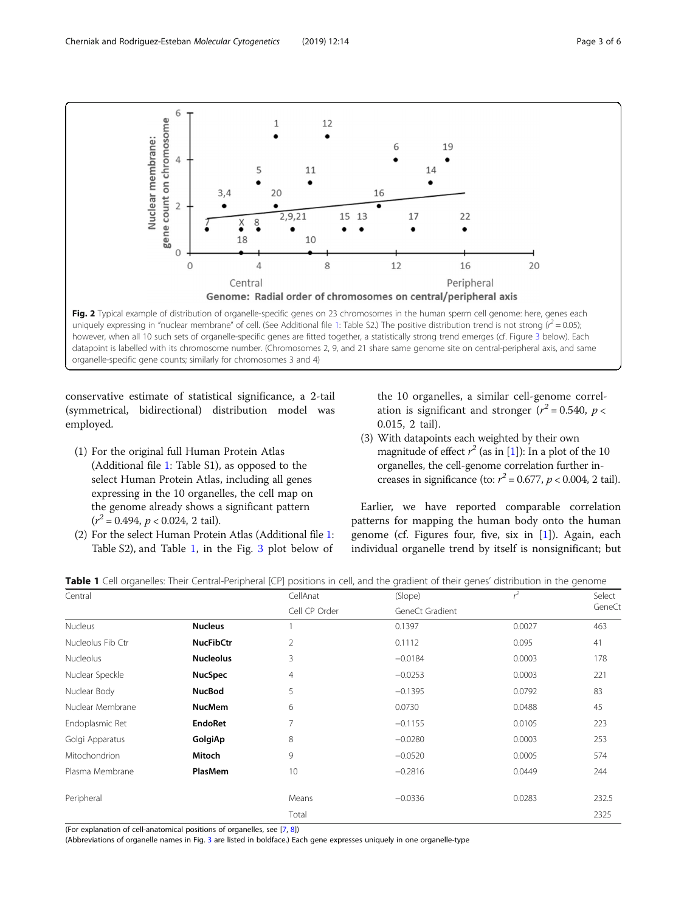<span id="page-2-0"></span>

conservative estimate of statistical significance, a 2-tail (symmetrical, bidirectional) distribution model was employed.

- (1) For the original full Human Protein Atlas (Additional file [1](#page-5-0): Table S1), as opposed to the select Human Protein Atlas, including all genes expressing in the 10 organelles, the cell map on the genome already shows a significant pattern  $(r^2 = 0.494, p < 0.024, 2 \text{ tail}).$
- (2) For the select Human Protein Atlas (Additional file [1:](#page-5-0) Table S2), and Table 1, in the Fig. [3](#page-3-0) plot below of

the 10 organelles, a similar cell-genome correlation is significant and stronger  $(r^2 = 0.540, p <$ 0.015, 2 tail).

(3) With datapoints each weighted by their own magnitude of effect  $r^2$  (as in [\[1](#page-5-0)]): In a plot of the 10 organelles, the cell-genome correlation further increases in significance (to:  $r^2 = 0.677$ ,  $p < 0.004$ , 2 tail).

Earlier, we have reported comparable correlation patterns for mapping the human body onto the human genome (cf. Figures four, five, six in [[1\]](#page-5-0)). Again, each individual organelle trend by itself is nonsignificant; but

|  |  |  | Table 1 Cell organelles: Their Central-Peripheral [CP] positions in cell, and the gradient of their genes' distribution in the genome |
|--|--|--|---------------------------------------------------------------------------------------------------------------------------------------|
|  |  |  |                                                                                                                                       |

| Central           |                  | CellAnat       | (Slope)         |        | Select |
|-------------------|------------------|----------------|-----------------|--------|--------|
|                   |                  | Cell CP Order  | GeneCt Gradient |        |        |
| Nucleus           | <b>Nucleus</b>   |                | 0.1397          | 0.0027 | 463    |
| Nucleolus Fib Ctr | <b>NucFibCtr</b> | $\overline{2}$ | 0.1112          | 0.095  | 41     |
| <b>Nucleolus</b>  | <b>Nucleolus</b> | 3              | $-0.0184$       | 0.0003 | 178    |
| Nuclear Speckle   | <b>NucSpec</b>   | 4              | $-0.0253$       | 0.0003 | 221    |
| Nuclear Body      | <b>NucBod</b>    | 5              | $-0.1395$       | 0.0792 | 83     |
| Nuclear Membrane  | <b>NucMem</b>    | 6              | 0.0730          | 0.0488 | 45     |
| Endoplasmic Ret   | <b>EndoRet</b>   | 7              | $-0.1155$       | 0.0105 | 223    |
| Golgi Apparatus   | GolgiAp          | 8              | $-0.0280$       | 0.0003 | 253    |
| Mitochondrion     | Mitoch           | 9              | $-0.0520$       | 0.0005 | 574    |
| Plasma Membrane   | PlasMem          | 10             | $-0.2816$       | 0.0449 | 244    |
| Peripheral        |                  | Means          | $-0.0336$       | 0.0283 | 232.5  |
|                   |                  | Total          |                 |        | 2325   |

(For explanation of cell-anatomical positions of organelles, see [[7](#page-5-0), [8\]](#page-5-0))

(Abbreviations of organelle names in Fig. [3](#page-3-0) are listed in boldface.) Each gene expresses uniquely in one organelle-type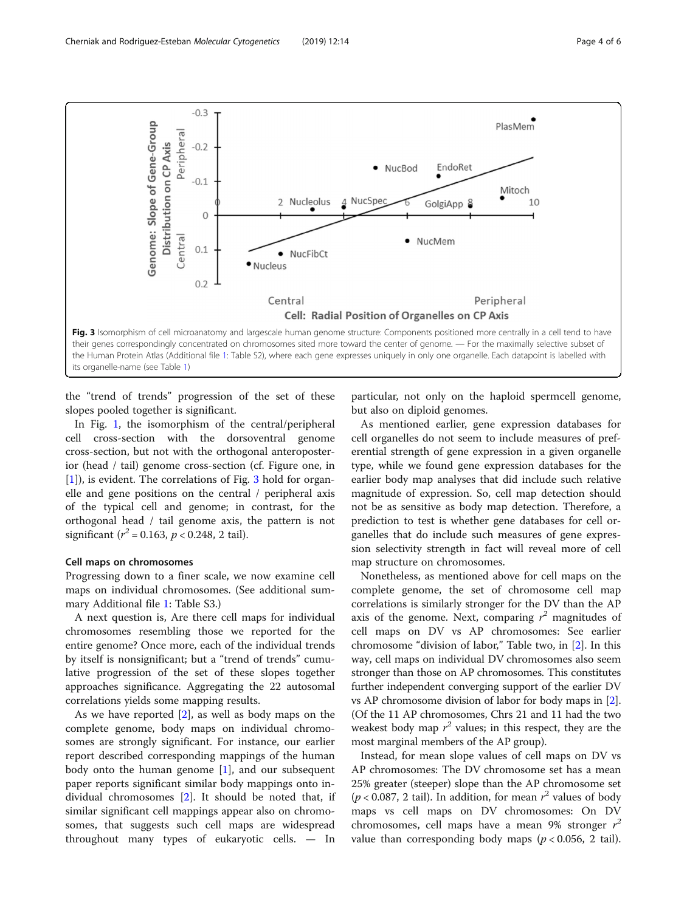<span id="page-3-0"></span>

its organelle-name (see Table [1\)](#page-2-0)

the "trend of trends" progression of the set of these slopes pooled together is significant.

In Fig. [1,](#page-1-0) the isomorphism of the central/peripheral cell cross-section with the dorsoventral genome cross-section, but not with the orthogonal anteroposterior (head / tail) genome cross-section (cf. Figure one, in [[1\]](#page-5-0)), is evident. The correlations of Fig. 3 hold for organelle and gene positions on the central / peripheral axis of the typical cell and genome; in contrast, for the orthogonal head / tail genome axis, the pattern is not significant ( $r^2$  = 0.163,  $p$  < 0.248, 2 tail).

#### Cell maps on chromosomes

Progressing down to a finer scale, we now examine cell maps on individual chromosomes. (See additional summary Additional file [1:](#page-5-0) Table S3.)

A next question is, Are there cell maps for individual chromosomes resembling those we reported for the entire genome? Once more, each of the individual trends by itself is nonsignificant; but a "trend of trends" cumulative progression of the set of these slopes together approaches significance. Aggregating the 22 autosomal correlations yields some mapping results.

As we have reported [[2](#page-5-0)], as well as body maps on the complete genome, body maps on individual chromosomes are strongly significant. For instance, our earlier report described corresponding mappings of the human body onto the human genome  $[1]$  $[1]$ , and our subsequent paper reports significant similar body mappings onto individual chromosomes [\[2](#page-5-0)]. It should be noted that, if similar significant cell mappings appear also on chromosomes, that suggests such cell maps are widespread throughout many types of eukaryotic cells. — In particular, not only on the haploid spermcell genome, but also on diploid genomes.

As mentioned earlier, gene expression databases for cell organelles do not seem to include measures of preferential strength of gene expression in a given organelle type, while we found gene expression databases for the earlier body map analyses that did include such relative magnitude of expression. So, cell map detection should not be as sensitive as body map detection. Therefore, a prediction to test is whether gene databases for cell organelles that do include such measures of gene expression selectivity strength in fact will reveal more of cell map structure on chromosomes.

Nonetheless, as mentioned above for cell maps on the complete genome, the set of chromosome cell map correlations is similarly stronger for the DV than the AP axis of the genome. Next, comparing  $r^2$  magnitudes of call mans on DV vs. AP chromosomes: See earlier cell maps on DV vs AP chromosomes: See earlier chromosome "division of labor," Table two, in [[2\]](#page-5-0). In this way, cell maps on individual DV chromosomes also seem stronger than those on AP chromosomes. This constitutes further independent converging support of the earlier DV vs AP chromosome division of labor for body maps in [[2](#page-5-0)]. (Of the 11 AP chromosomes, Chrs 21 and 11 had the two weakest body map  $r^2$  values; in this respect, they are the most marginal members of the AP group) most marginal members of the AP group).

Instead, for mean slope values of cell maps on DV vs AP chromosomes: The DV chromosome set has a mean 25% greater (steeper) slope than the AP chromosome set  $(p < 0.087, 2 \text{ tail})$ . In addition, for mean  $r^2$  values of body mans, vs. cell, mans, on DV chromosomes: On DV maps vs cell maps on DV chromosomes: On DV chromosomes, cell maps have a mean 9% stronger  $\vec{r}$ <br>value than corresponding body maps (n < 0.056, 2 tail) value than corresponding body maps ( $p < 0.056$ , 2 tail).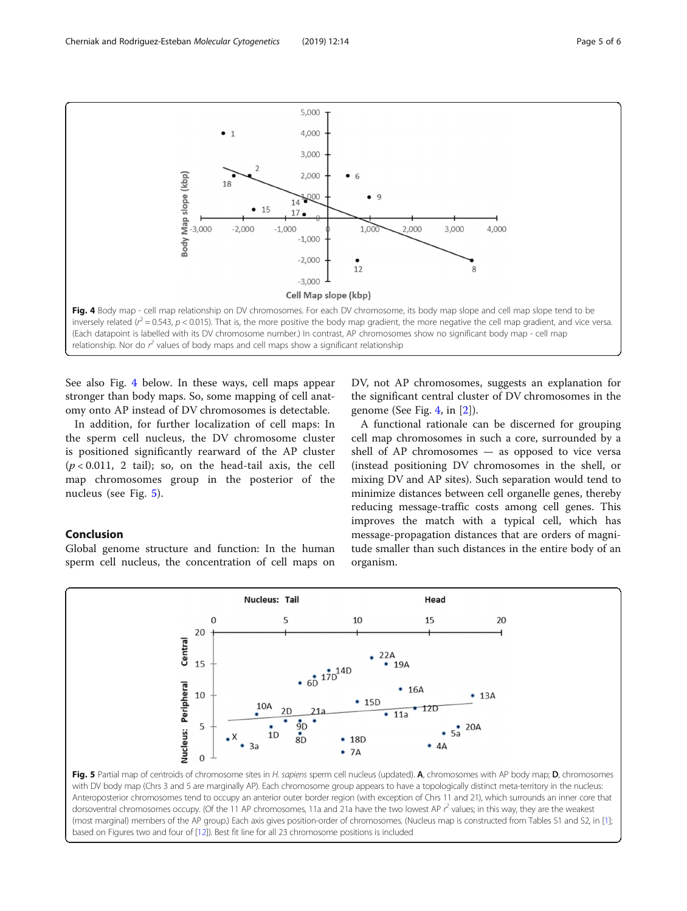<span id="page-4-0"></span>

See also Fig. 4 below. In these ways, cell maps appear stronger than body maps. So, some mapping of cell anatomy onto AP instead of DV chromosomes is detectable.

In addition, for further localization of cell maps: In the sperm cell nucleus, the DV chromosome cluster is positioned significantly rearward of the AP cluster  $(p < 0.011, 2$  tail); so, on the head-tail axis, the cell map chromosomes group in the posterior of the nucleus (see Fig. 5).

#### Conclusion

Global genome structure and function: In the human sperm cell nucleus, the concentration of cell maps on DV, not AP chromosomes, suggests an explanation for the significant central cluster of DV chromosomes in the genome (See Fig. 4, in [\[2](#page-5-0)]).

A functional rationale can be discerned for grouping cell map chromosomes in such a core, surrounded by a shell of AP chromosomes — as opposed to vice versa (instead positioning DV chromosomes in the shell, or mixing DV and AP sites). Such separation would tend to minimize distances between cell organelle genes, thereby reducing message-traffic costs among cell genes. This improves the match with a typical cell, which has message-propagation distances that are orders of magnitude smaller than such distances in the entire body of an organism.



with DV body map (Chrs 3 and 5 are marginally AP). Each chromosome group appears to have a topologically distinct meta-territory in the nucleus: Anteroposterior chromosomes tend to occupy an anterior outer border region (with exception of Chrs 11 and 21), which surrounds an inner core that dorsoventral chromosomes occupy. (Of the 11 AP chromosomes, 11a and 21a have the two lowest AP  $r^2$  values; in this way, they are the weakest (most marginal) members of the AP group.) Each axis gives position-order of chromosomes. (Nucleus map is constructed from Tables S1 and S2, in [\[1\]](#page-5-0); based on Figures two and four of [\[12\]](#page-5-0)). Best fit line for all 23 chromosome positions is included